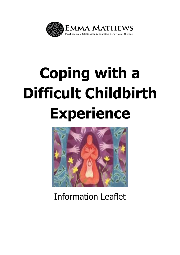

# **Coping with a Difficult Childbirth Experience**



# Information Leaflet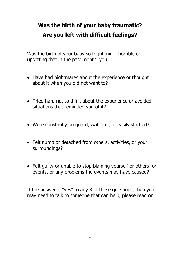# **Was the birth of your baby traumatic? Are you left with difficult feelings?**

Was the birth of your baby so frightening, horrible or upsetting that in the past month, you…

- Have had nightmares about the experience or thought about it when you did not want to?
- Tried hard not to think about the experience or avoided situations that reminded you of it?
- Were constantly on guard, watchful, or easily startled?
- Felt numb or detached from others, activities, or your surroundings?
- Felt guilty or unable to stop blaming yourself or others for events, or any problems the events may have caused?

If the answer is "yes" to any 3 of these questions, then you may need to talk to someone that can help, please read on…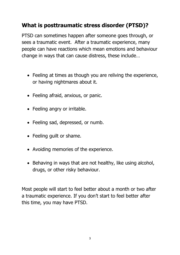#### **What is posttraumatic stress disorder (PTSD)?**

PTSD can sometimes happen after someone goes through, or sees a traumatic event. After a traumatic experience, many people can have reactions which mean emotions and behaviour change in ways that can cause distress, these include…

- Feeling at times as though you are reliving the experience, or having nightmares about it.
- Feeling afraid, anxious, or panic.
- Feeling angry or irritable.
- Feeling sad, depressed, or numb.
- Feeling guilt or shame.
- Avoiding memories of the experience.
- Behaving in ways that are not healthy, like using alcohol, drugs, or other risky behaviour.

Most people will start to feel better about a month or two after a traumatic experience. If you don't start to feel better after this time, you may have PTSD.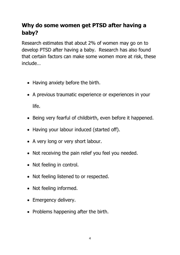### **Why do some women get PTSD after having a baby?**

Research estimates that about 2% of women may go on to develop PTSD after having a baby. Research has also found that certain factors can make some women more at risk, these include…

- Having anxiety before the birth.
- A previous traumatic experience or experiences in your life.
- Being very fearful of childbirth, even before it happened.
- Having your labour induced (started off).
- A very long or very short labour.
- Not receiving the pain relief you feel you needed.
- Not feeling in control.
- Not feeling listened to or respected.
- Not feeling informed.
- Emergency delivery.
- Problems happening after the birth.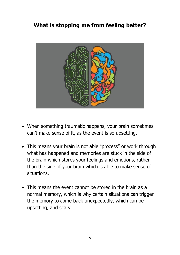#### **What is stopping me from feeling better?**



- When something traumatic happens, your brain sometimes can't make sense of it, as the event is so upsetting.
- This means your brain is not able "process" or work through what has happened and memories are stuck in the side of the brain which stores your feelings and emotions, rather than the side of your brain which is able to make sense of situations.
- This means the event cannot be stored in the brain as a normal memory, which is why certain situations can trigger the memory to come back unexpectedly, which can be upsetting, and scary.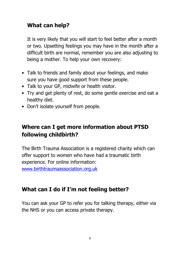#### **What can help?**

It is very likely that you will start to feel better after a month or two. Upsetting feelings you may have in the month after a difficult birth are normal, remember you are also adjusting to being a mother. To help your own recovery:

- Talk to friends and family about your feelings, and make sure you have good support from these people.
- Talk to your GP, midwife or health visitor.
- Try and get plenty of rest, do some gentle exercise and eat a healthy diet.
- Don't isolate yourself from people.

#### **Where can I get more information about PTSD following childbirth?**

The Birth Trauma Association is a registered charity which can offer support to women who have had a traumatic birth experience. For online information:

[www.birthtraumaassociation.org.uk](http://www.birthtraumaassociation.org.uk/)

#### **What can I do if I'm not feeling better?**

You can ask your GP to refer you for talking therapy, either via the NHS or you can access private therapy.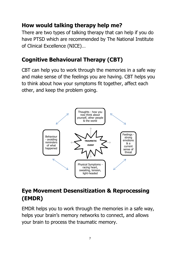#### **How would talking therapy help me?**

There are two types of talking therapy that can help if you do have PTSD which are recommended by The National Institute of Clinical Excellence (NICE)…

# **Cognitive Behavioural Therapy (CBT)**

CBT can help you to work through the memories in a safe way and make sense of the feelings you are having. CBT helps you to think about how your symptoms fit together, affect each other, and keep the problem going.



# **Eye Movement Desensitization & Reprocessing (EMDR)**

EMDR helps you to work through the memories in a safe way, helps your brain's memory networks to connect, and allows your brain to process the traumatic memory.